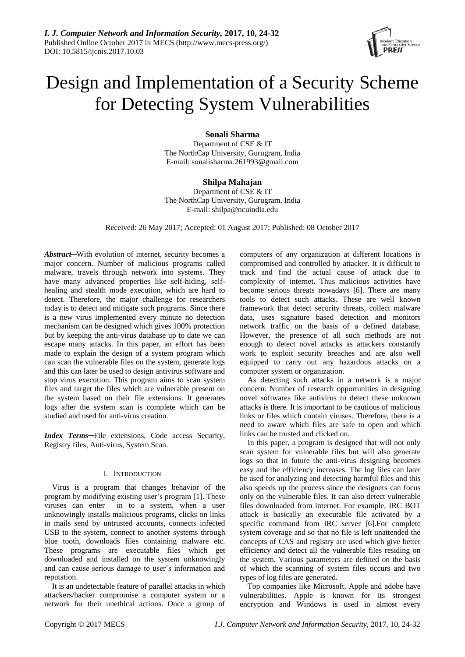

# Design and Implementation of a Security Scheme for Detecting System Vulnerabilities

**Sonali Sharma**

Department of CSE & IT The NorthCap University, Gurugram, India E-mail: sonalisharma.261993@gmail.com

# **Shilpa Mahajan**

Department of CSE & IT The NorthCap University, Gurugram, India E-mail: shilpa@ncuindia.edu

Received: 26 May 2017; Accepted: 01 August 2017; Published: 08 October 2017

*Abstract*─With evolution of internet, security becomes a major concern. Number of malicious programs called malware, travels through network into systems. They have many advanced properties like self-hiding, selfhealing and stealth mode execution, which are hard to detect. Therefore, the major challenge for researchers today is to detect and mitigate such programs. Since there is a new virus implemented every minute no detection mechanism can be designed which gives 100% protection but by keeping the anti-virus database up to date we can escape many attacks. In this paper, an effort has been made to explain the design of a system program which can scan the vulnerable files on the system, generate logs and this can later be used to design antivirus software and stop virus execution. This program aims to scan system files and target the files which are vulnerable present on the system based on their file extensions. It generates logs after the system scan is complete which can be studied and used for anti-virus creation.

*Index Terms─*File extensions, Code access Security, Registry files, Anti-virus, System Scan.

# I. INTRODUCTION

Virus is a program that changes behavior of the program by modifying existing user's program [1]. These viruses can enter in to a system, when a user unknowingly installs malicious programs, clicks on links in mails send by untrusted accounts, connects infected USB to the system, connect to another systems through blue tooth, downloads files containing malware etc. These programs are executable files which get downloaded and installed on the system unknowingly and can cause serious damage to user's information and reputation.

It is an undetectable feature of parallel attacks in which attackers/hacker compromise a computer system or a network for their unethical actions. Once a group of

computers of any organization at different locations is compromised and controlled by attacker. It is difficult to track and find the actual cause of attack due to complexity of internet. Thus malicious activities have become serious threats nowadays [6]. There are many tools to detect such attacks. These are well known framework that detect security threats, collect malware data, uses signature based detection and monitors network traffic on the basis of a defined database. However, the presence of all such methods are not enough to detect novel attacks as attackers constantly work to exploit security breaches and are also well equipped to carry out any hazardous attacks on a computer system or organization.

As detecting such attacks in a network is a major concern. Number of research opportunities in designing novel softwares like antivirus to detect these unknown attacks is there. It is important to be cautious of malicious links or files which contain viruses. Therefore, there is a need to aware which files are safe to open and which links can be trusted and clicked on.

In this paper, a program is designed that will not only scan system for vulnerable files but will also generate logs so that in future the anti-virus designing becomes easy and the efficiency increases. The log files can later be used for analyzing and detecting harmful files and this also speeds up the process since the designers can focus only on the vulnerable files. It can also detect vulnerable files downloaded from internet. For example, IRC BOT attack is basically an executable file activated by a specific command from IRC server [6].For complete system coverage and so that no file is left unattended the concepts of CAS and registry are used which give better efficiency and detect all the vulnerable files residing on the system. Various parameters are defined on the basis of which the scanning of system files occurs and two types of log files are generated.

Top companies like Microsoft, Apple and adobe have vulnerabilities. Apple is known for its strongest encryption and Windows is used in almost every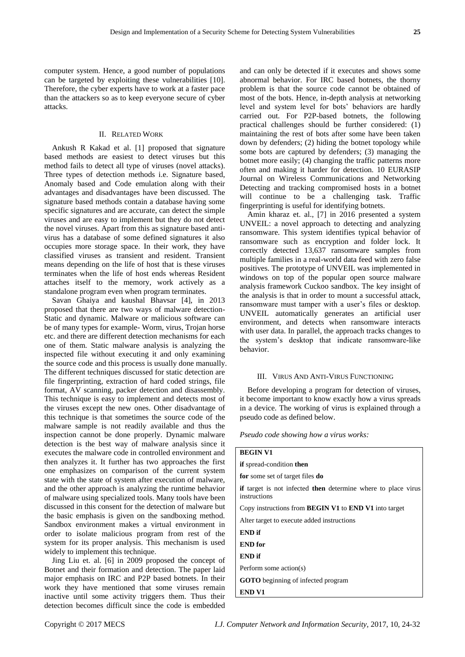computer system. Hence, a good number of populations can be targeted by exploiting these vulnerabilities [10]. Therefore, the cyber experts have to work at a faster pace than the attackers so as to keep everyone secure of cyber attacks.

# II. RELATED WORK

Ankush R Kakad et al. [1] proposed that signature based methods are easiest to detect viruses but this method fails to detect all type of viruses (novel attacks). Three types of detection methods i.e. Signature based, Anomaly based and Code emulation along with their advantages and disadvantages have been discussed. The signature based methods contain a database having some specific signatures and are accurate, can detect the simple viruses and are easy to implement but they do not detect the novel viruses. Apart from this as signature based antivirus has a database of some defined signatures it also occupies more storage space. In their work, they have classified viruses as transient and resident. Transient means depending on the life of host that is these viruses terminates when the life of host ends whereas Resident attaches itself to the memory, work actively as a standalone program even when program terminates.

Savan Ghaiya and kaushal Bhavsar [4], in 2013 proposed that there are two ways of malware detection-Static and dynamic. Malware or malicious software can be of many types for example- Worm, virus, Trojan horse etc. and there are different detection mechanisms for each one of them. Static malware analysis is analyzing the inspected file without executing it and only examining the source code and this process is usually done manually. The different techniques discussed for static detection are file fingerprinting, extraction of hard coded strings, file format, AV scanning, packer detection and disassembly. This technique is easy to implement and detects most of the viruses except the new ones. Other disadvantage of this technique is that sometimes the source code of the malware sample is not readily available and thus the inspection cannot be done properly. Dynamic malware detection is the best way of malware analysis since it executes the malware code in controlled environment and then analyzes it. It further has two approaches the first one emphasizes on comparison of the current system state with the state of system after execution of malware, and the other approach is analyzing the runtime behavior of malware using specialized tools. Many tools have been discussed in this consent for the detection of malware but the basic emphasis is given on the sandboxing method. Sandbox environment makes a virtual environment in order to isolate malicious program from rest of the system for its proper analysis. This mechanism is used widely to implement this technique.

Jing Liu et. al. [6] in 2009 proposed the concept of Botnet and their formation and detection. The paper laid major emphasis on IRC and P2P based botnets. In their work they have mentioned that some viruses remain inactive until some activity triggers them. Thus their detection becomes difficult since the code is embedded

and can only be detected if it executes and shows some abnormal behavior. For IRC based botnets, the thorny problem is that the source code cannot be obtained of most of the bots. Hence, in-depth analysis at networking level and system level for bots' behaviors are hardly carried out. For P2P-based botnets, the following practical challenges should be further considered: (1) maintaining the rest of bots after some have been taken down by defenders; (2) hiding the botnet topology while some bots are captured by defenders; (3) managing the botnet more easily; (4) changing the traffic patterns more often and making it harder for detection. 10 EURASIP Journal on Wireless Communications and Networking Detecting and tracking compromised hosts in a botnet will continue to be a challenging task. Traffic fingerprinting is useful for identifying botnets.

Amin kharaz et. al., [7] in 2016 presented a system UNVEIL: a novel approach to detecting and analyzing ransomware. This system identifies typical behavior of ransomware such as encryption and folder lock. It correctly detected 13,637 ransomware samples from multiple families in a real-world data feed with zero false positives. The prototype of UNVEIL was implemented in windows on top of the popular open source malware analysis framework Cuckoo sandbox. The key insight of the analysis is that in order to mount a successful attack, ransomware must tamper with a user's files or desktop. UNVEIL automatically generates an artificial user environment, and detects when ransomware interacts with user data. In parallel, the approach tracks changes to the system's desktop that indicate ransomware-like behavior.

#### III. VIRUS AND ANTI-VIRUS FUNCTIONING

Before developing a program for detection of viruses, it become important to know exactly how a virus spreads in a device. The working of virus is explained through a pseudo code as defined below.

*Pseudo code showing how a virus works:*

| <b>BEGIN V1</b>                                                               |
|-------------------------------------------------------------------------------|
| if spread-condition then                                                      |
| for some set of target files do                                               |
| if target is not infected then determine where to place virus<br>instructions |
| Copy instructions from <b>BEGIN V1</b> to <b>END V1</b> into target           |
| Alter target to execute added instructions                                    |
| END if                                                                        |
| <b>END</b> for                                                                |
| END if                                                                        |
| Perform some action(s)                                                        |
| <b>GOTO</b> beginning of infected program                                     |
| END V1                                                                        |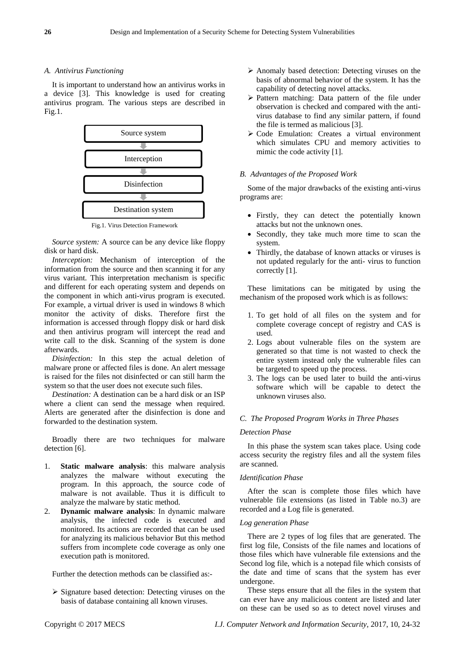## *A. Antivirus Functioning*

It is important to understand how an antivirus works in a device [3]. This knowledge is used for creating antivirus program. The various steps are described in Fig.1.



Fig.1. Virus Detection Framework

*Source system:* A source can be any device like floppy disk or hard disk.

*Interception:* Mechanism of interception of the information from the source and then scanning it for any virus variant. This interpretation mechanism is specific and different for each operating system and depends on the component in which anti-virus program is executed. For example, a virtual driver is used in windows 8 which monitor the activity of disks. Therefore first the information is accessed through floppy disk or hard disk and then antivirus program will intercept the read and write call to the disk. Scanning of the system is done afterwards.

*Disinfection:* In this step the actual deletion of malware prone or affected files is done. An alert message is raised for the files not disinfected or can still harm the system so that the user does not execute such files.

*Destination:* A destination can be a hard disk or an ISP where a client can send the message when required. Alerts are generated after the disinfection is done and forwarded to the destination system.

Broadly there are two techniques for malware detection [6].

- 1. **Static malware analysis**: this malware analysis analyzes the malware without executing the program. In this approach, the source code of malware is not available. Thus it is difficult to analyze the malware by static method.
- 2. **Dynamic malware analysis**: In dynamic malware analysis, the infected code is executed and monitored. Its actions are recorded that can be used for analyzing its malicious behavior But this method suffers from incomplete code coverage as only one execution path is monitored.

Further the detection methods can be classified as:-

 $\triangleright$  Signature based detection: Detecting viruses on the basis of database containing all known viruses.

- Anomaly based detection: Detecting viruses on the basis of abnormal behavior of the system. It has the capability of detecting novel attacks.
- $\triangleright$  Pattern matching: Data pattern of the file under observation is checked and compared with the antivirus database to find any similar pattern, if found the file is termed as malicious [3].
- Code Emulation: Creates a virtual environment which simulates CPU and memory activities to mimic the code activity [1].

## *B. Advantages of the Proposed Work*

Some of the major drawbacks of the existing anti-virus programs are:

- Firstly, they can detect the potentially known attacks but not the unknown ones.
- Secondly, they take much more time to scan the system.
- Thirdly, the database of known attacks or viruses is not updated regularly for the anti- virus to function correctly [1].

These limitations can be mitigated by using the mechanism of the proposed work which is as follows:

- 1. To get hold of all files on the system and for complete coverage concept of registry and CAS is used.
- 2. Logs about vulnerable files on the system are generated so that time is not wasted to check the entire system instead only the vulnerable files can be targeted to speed up the process.
- 3. The logs can be used later to build the anti-virus software which will be capable to detect the unknown viruses also.

## *C. The Proposed Program Works in Three Phases*

## *Detection Phase*

In this phase the system scan takes place. Using code access security the registry files and all the system files are scanned.

#### *Identification Phase*

After the scan is complete those files which have vulnerable file extensions (as listed in Table no.3) are recorded and a Log file is generated.

## *Log generation Phase*

There are 2 types of log files that are generated. The first log file, Consists of the file names and locations of those files which have vulnerable file extensions and the Second log file, which is a notepad file which consists of the date and time of scans that the system has ever undergone.

These steps ensure that all the files in the system that can ever have any malicious content are listed and later on these can be used so as to detect novel viruses and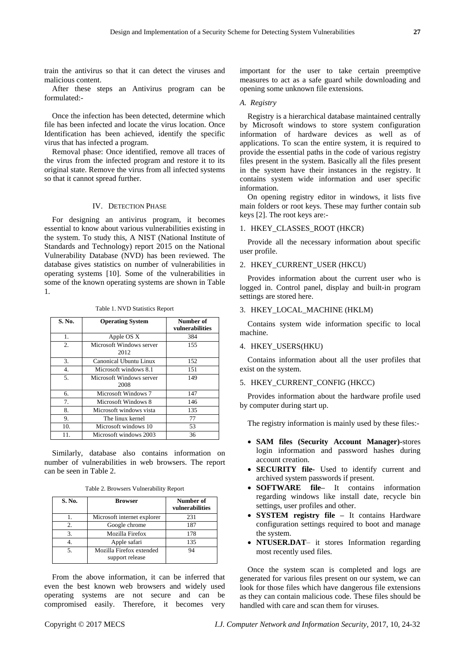train the antivirus so that it can detect the viruses and malicious content.

After these steps an Antivirus program can be formulated:-

Once the infection has been detected, determine which file has been infected and locate the virus location. Once Identification has been achieved, identify the specific virus that has infected a program.

Removal phase: Once identified, remove all traces of the virus from the infected program and restore it to its original state. Remove the virus from all infected systems so that it cannot spread further.

## IV. DETECTION PHASE

For designing an antivirus program, it becomes essential to know about various vulnerabilities existing in the system. To study this, A NIST (National Institute of Standards and Technology) report 2015 on the National Vulnerability Database (NVD) has been reviewed. The database gives statistics on number of vulnerabilities in operating systems [10]. Some of the vulnerabilities in some of the known operating systems are shown in Table 1.

| S. No.           | <b>Operating System</b>          | Number of<br>vulnerabilities |
|------------------|----------------------------------|------------------------------|
| 1.               | Apple OS X                       | 384                          |
| 2.               | Microsoft Windows server<br>2012 | 155                          |
| 3.               | Canonical Ubuntu Linux           | 152                          |
| $\overline{4}$ . | Microsoft windows 8.1            | 151                          |
| 5.               | Microsoft Windows server<br>2008 | 149                          |
| 6.               | <b>Microsoft Windows 7</b>       | 147                          |
| 7.               | Microsoft Windows 8              | 146                          |
| 8.               | Microsoft windows vista          | 135                          |
| 9.               | The linux kernel                 | 77                           |
| 10.              | Microsoft windows 10             | 53                           |
| 11.              | Microsoft windows 2003           | 36                           |

Table 1. NVD Statistics Report

Similarly, database also contains information on number of vulnerabilities in web browsers. The report can be seen in Table 2.

Table 2. Browsers Vulnerability Report

| <b>S. No.</b> | <b>Browser</b>                              | Number of<br>vulnerabilities |
|---------------|---------------------------------------------|------------------------------|
|               | Microsoft internet explorer                 | 231                          |
| 2.            | Google chrome                               | 187                          |
| 3             | Mozilla Firefox                             | 178                          |
|               | Apple safari                                | 135                          |
|               | Mozilla Firefox extended<br>support release | 94                           |

From the above information, it can be inferred that even the best known web browsers and widely used operating systems are not secure and can be compromised easily. Therefore, it becomes very

important for the user to take certain preemptive measures to act as a safe guard while downloading and opening some unknown file extensions.

### *A. Registry*

Registry is a hierarchical database maintained centrally by Microsoft windows to store system configuration information of hardware devices as well as of applications. To scan the entire system, it is required to provide the essential paths in the code of various registry files present in the system. Basically all the files present in the system have their instances in the registry. It contains system wide information and user specific information.

On opening registry editor in windows, it lists five main folders or root keys. These may further contain sub keys [2]. The root keys are:-

# 1. HKEY\_CLASSES\_ROOT (HKCR)

Provide all the necessary information about specific user profile.

## 2. HKEY\_CURRENT\_USER (HKCU)

Provides information about the current user who is logged in. Control panel, display and built-in program settings are stored here.

### 3. HKEY\_LOCAL\_MACHINE (HKLM)

Contains system wide information specific to local machine.

### 4. HKEY\_USERS(HKU)

Contains information about all the user profiles that exist on the system.

## 5. HKEY\_CURRENT\_CONFIG (HKCC)

Provides information about the hardware profile used by computer during start up.

The registry information is mainly used by these files:-

- **SAM files (Security Account Manager)-**stores login information and password hashes during account creation.
- **SECURITY file-** Used to identify current and archived system passwords if present.
- **SOFTWARE file–** It contains information regarding windows like install date, recycle bin settings, user profiles and other.
- **SYSTEM registry file –** It contains Hardware configuration settings required to boot and manage the system.
- **NTUSER.DAT** it stores Information regarding most recently used files.

Once the system scan is completed and logs are generated for various files present on our system, we can look for those files which have dangerous file extensions as they can contain malicious code. These files should be handled with care and scan them for viruses.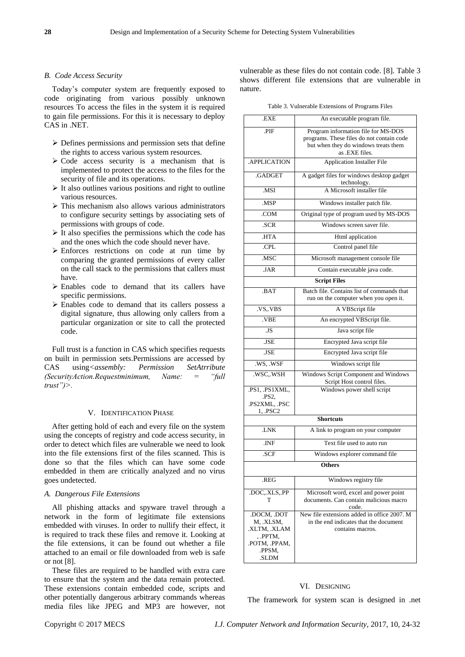## *B. Code Access Security*

Today's computer system are frequently exposed to code originating from various possibly unknown resources To access the files in the system it is required to gain file permissions. For this it is necessary to deploy CAS in .NET.

- $\triangleright$  Defines permissions and permission sets that define the rights to access various system resources.
- $\triangleright$  Code access security is a mechanism that is implemented to protect the access to the files for the security of file and its operations.
- $\triangleright$  It also outlines various positions and right to outline various resources.
- $\triangleright$  This mechanism also allows various administrators to configure security settings by associating sets of permissions with groups of code.
- $\triangleright$  It also specifies the permissions which the code has and the ones which the code should never have.
- Enforces restrictions on code at run time by comparing the granted permissions of every caller on the call stack to the permissions that callers must have.
- $\triangleright$  Enables code to demand that its callers have specific permissions.
- Enables code to demand that its callers possess a digital signature, thus allowing only callers from a particular organization or site to call the protected code.

Full trust is a function in CAS which specifies requests on built in permission sets.Permissions are accessed by CAS using*<assembly: Permission SetAtrribute (SecurityAction.Requestminimum, Name: = "full trust")>.*

### V. IDENTIFICATION PHASE

After getting hold of each and every file on the system using the concepts of registry and code access security, in order to detect which files are vulnerable we need to look into the file extensions first of the files scanned. This is done so that the files which can have some code embedded in them are critically analyzed and no virus goes undetected.

#### *A. Dangerous File Extensions*

All phishing attacks and spyware travel through a network in the form of legitimate file extensions embedded with viruses. In order to nullify their effect, it is required to track these files and remove it. Looking at the file extensions, it can be found out whether a file attached to an email or file downloaded from web is safe or not [8].

These files are required to be handled with extra care to ensure that the system and the data remain protected. These extensions contain embedded code, scripts and other potentially dangerous arbitrary commands whereas media files like JPEG and MP3 are however, not vulnerable as these files do not contain code. [8]. Table 3 shows different file extensions that are vulnerable in nature.

Table 3. Vulnerable Extensions of Programs Files

| .EXE                                                                                    | An executable program file.                                                                                                                |  |  |  |  |
|-----------------------------------------------------------------------------------------|--------------------------------------------------------------------------------------------------------------------------------------------|--|--|--|--|
| .PIF                                                                                    | Program information file for MS-DOS<br>programs. These files do not contain code<br>but when they do windows treats them<br>as .EXE files. |  |  |  |  |
| .APPLICATION                                                                            | <b>Application Installer File</b>                                                                                                          |  |  |  |  |
| .GADGET                                                                                 | A gadget files for windows desktop gadget<br>technology.                                                                                   |  |  |  |  |
| .MSI                                                                                    | A Microsoft installer file                                                                                                                 |  |  |  |  |
| <b>MSP</b>                                                                              | Windows installer patch file.                                                                                                              |  |  |  |  |
| .COM                                                                                    | Original type of program used by MS-DOS                                                                                                    |  |  |  |  |
| .SCR                                                                                    | Windows screen saver file.                                                                                                                 |  |  |  |  |
| HTA.                                                                                    | Html application                                                                                                                           |  |  |  |  |
| .CPL                                                                                    | Control panel file                                                                                                                         |  |  |  |  |
| .MSC                                                                                    | Microsoft management console file                                                                                                          |  |  |  |  |
| .JAR                                                                                    | Contain executable java code.                                                                                                              |  |  |  |  |
| <b>Script Files</b>                                                                     |                                                                                                                                            |  |  |  |  |
| .BAT                                                                                    | Batch file. Contains list of commands that<br>run on the computer when you open it.                                                        |  |  |  |  |
| VS.VBS                                                                                  | A VBScript file                                                                                                                            |  |  |  |  |
| .VBE                                                                                    | An encrypted VBScript file.                                                                                                                |  |  |  |  |
| .JS                                                                                     | Java script file                                                                                                                           |  |  |  |  |
| <b>JSE</b>                                                                              | Encrypted Java script file                                                                                                                 |  |  |  |  |
| .JSE                                                                                    | Encrypted Java script file                                                                                                                 |  |  |  |  |
| .WS, .WSF                                                                               | Windows script file                                                                                                                        |  |  |  |  |
| .WSC,.WSH                                                                               | Windows Script Component and Windows<br>Script Host control files.                                                                         |  |  |  |  |
| .PS1, .PS1XML,<br>PS2<br>.PS2XML, .PSC<br>1, .PSC2                                      | Windows power shell script                                                                                                                 |  |  |  |  |
|                                                                                         | <b>Shortcuts</b>                                                                                                                           |  |  |  |  |
| <b>I.NK</b>                                                                             | A link to program on your computer                                                                                                         |  |  |  |  |
| .INF                                                                                    | Text file used to auto run                                                                                                                 |  |  |  |  |
| .SCF                                                                                    | Windows explorer command file                                                                                                              |  |  |  |  |
|                                                                                         | <b>Others</b>                                                                                                                              |  |  |  |  |
| .REG                                                                                    | Windows registry file                                                                                                                      |  |  |  |  |
| .DOC,.XLS,.PP<br>T                                                                      | Microsoft word, excel and power point<br>documents. Can contain malicious macro<br>code.                                                   |  |  |  |  |
| .DOCM, .DOT<br>M, .XLSM,<br>.XLTM, .XLAM<br>, PPTM,<br>.POTM, .PPAM,<br>.PPSM,<br>.SLDM | New file extensions added in office 2007. M<br>in the end indicates that the document<br>contains macros.                                  |  |  |  |  |

## VI. DESIGNING

The framework for system scan is designed in .net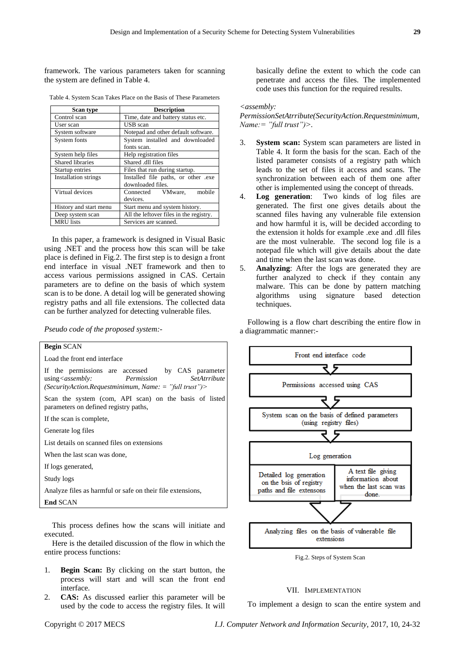framework. The various parameters taken for scanning the system are defined in Table 4.

| Scan type                   | <b>Description</b>                      |  |
|-----------------------------|-----------------------------------------|--|
| Control scan                | Time, date and battery status etc.      |  |
| User scan                   | USB scan                                |  |
| System software             | Notepad and other default software.     |  |
| System fonts                | System installed and downloaded         |  |
|                             | fonts scan.                             |  |
| System help files           | Help registration files                 |  |
| <b>Shared libraries</b>     | Shared .dll files                       |  |
| Startup entries             | Files that run during startup.          |  |
| <b>Installation strings</b> | Installed file paths, or other .exe     |  |
|                             | downloaded files.                       |  |
| Virtual devices             | Connected<br>mobile<br>VMware,          |  |
|                             | devices.                                |  |
| History and start menu      | Start menu and system history.          |  |
| Deep system scan            | All the leftover files in the registry. |  |
| <b>MRU</b> lists            | Services are scanned.                   |  |

Table 4. System Scan Takes Place on the Basis of These Parameters

In this paper, a framework is designed in Visual Basic using .NET and the process how this scan will be take place is defined in Fig.2. The first step is to design a front end interface in visual .NET framework and then to access various permissions assigned in CAS. Certain parameters are to define on the basis of which system scan is to be done. A detail log will be generated showing registry paths and all file extensions. The collected data can be further analyzed for detecting vulnerable files.

*Pseudo code of the proposed system:-*



This process defines how the scans will initiate and executed.

Here is the detailed discussion of the flow in which the entire process functions:

- 1. **Begin Scan:** By clicking on the start button, the process will start and will scan the front end interface.
- 2. **CAS:** As discussed earlier this parameter will be used by the code to access the registry files. It will

basically define the extent to which the code can penetrate and access the files. The implemented code uses this function for the required results.

#### *<assembly:*

*PermissionSetAtrribute(SecurityAction.Requestminimum, Name:= "full trust")>.*

- 3. **System scan:** System scan parameters are listed in Table 4. It form the basis for the scan. Each of the listed parameter consists of a registry path which leads to the set of files it access and scans. The synchronization between each of them one after other is implemented using the concept of threads.
- 4. **Log generation**: Two kinds of log files are generated. The first one gives details about the scanned files having any vulnerable file extension and how harmful it is, will be decided according to the extension it holds for example .exe and .dll files are the most vulnerable. The second log file is a notepad file which will give details about the date and time when the last scan was done.
- 5. **Analyzing**: After the logs are generated they are further analyzed to check if they contain any malware. This can be done by pattern matching algorithms using signature based detection techniques.

Following is a flow chart describing the entire flow in a diagrammatic manner:-



#### VII. IMPLEMENTATION

To implement a design to scan the entire system and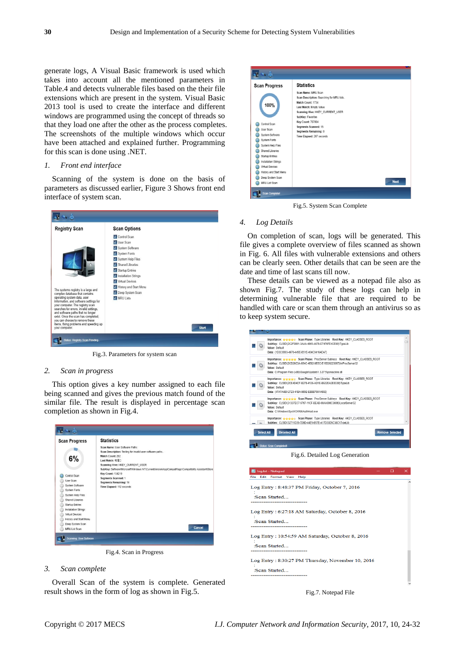generate logs, A Visual Basic framework is used which takes into account all the mentioned parameters in Table.4 and detects vulnerable files based on the their file extensions which are present in the system. Visual Basic 2013 tool is used to create the interface and different windows are programmed using the concept of threads so that they load one after the other as the process completes. The screenshots of the multiple windows which occur have been attached and explained further. Programming for this scan is done using .NET.

## *1. Front end interface*

Scanning of the system is done on the basis of parameters as discussed earlier, Figure 3 Shows front end interface of system scan.



Fig.3. Parameters for system scan

## *2. Scan in progress*

This option gives a key number assigned to each file being scanned and gives the previous match found of the similar file. The result is displayed in percentage scan completion as shown in Fig.4.



Fig.4. Scan in Progress

## *3. Scan complete*

Overall Scan of the system is complete. Generated result shows in the form of log as shown in Fig.5.



Fig.5. System Scan Complete

### *4. Log Details*

On completion of scan, logs will be generated. This file gives a complete overview of files scanned as shown in Fig. 6. All files with vulnerable extensions and others can be clearly seen. Other details that can be seen are the date and time of last scans till now.

These details can be viewed as a notepad file also as shown Fig.7. The study of these logs can help in determining vulnerable file that are required to be handled with care or scan them through an antivirus so as to keep system secure.



Fig.6. Detailed Log Generation

| Format View<br>Help<br>Edit<br>File<br>Log Entry: 8:48:37 PM Friday, October 7, 2016         |  |
|----------------------------------------------------------------------------------------------|--|
|                                                                                              |  |
| :Scan Started<br>-----------------                                                           |  |
| Log Entry: 6:27:18 AM Saturday, October 8, 2016                                              |  |
| :Sean Started<br>---------------------------                                                 |  |
| Log Entry: 10:54:59 AM Saturday, October 8, 2016                                             |  |
| :Scan Started<br>-------------------------                                                   |  |
| Log Entry: 8:30:27 PM Thursday, November 10, 2016<br>:Sean Started<br>---------------------- |  |

Fig.7. Notepad File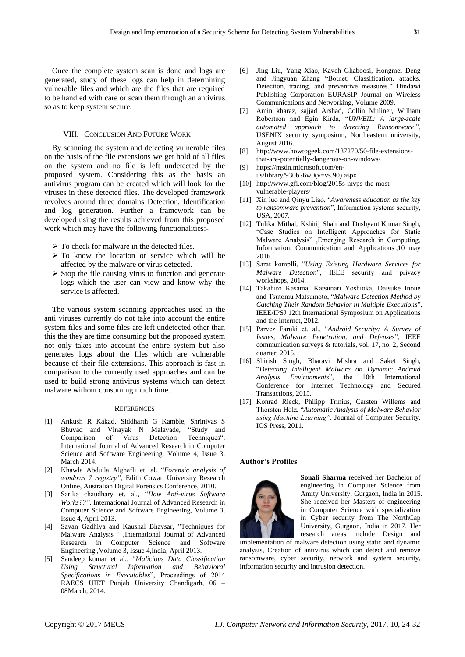Once the complete system scan is done and logs are generated, study of these logs can help in determining vulnerable files and which are the files that are required to be handled with care or scan them through an antivirus so as to keep system secure.

# VIII. CONCLUSION AND FUTURE WORK

By scanning the system and detecting vulnerable files on the basis of the file extensions we get hold of all files on the system and no file is left undetected by the proposed system. Considering this as the basis an antivirus program can be created which will look for the viruses in these detected files. The developed framework revolves around three domains Detection, Identification and log generation. Further a framework can be developed using the results achieved from this proposed work which may have the following functionalities:-

- $\triangleright$  To check for malware in the detected files.
- $\triangleright$  To know the location or service which will be affected by the malware or virus detected.
- $\triangleright$  Stop the file causing virus to function and generate logs which the user can view and know why the service is affected.

The various system scanning approaches used in the anti viruses currently do not take into account the entire system files and some files are left undetected other than this the they are time consuming but the proposed system not only takes into account the entire system but also generates logs about the files which are vulnerable because of their file extensions. This approach is fast in comparison to the currently used approaches and can be used to build strong antivirus systems which can detect malware without consuming much time.

#### **REFERENCES**

- [1] Ankush R Kakad, Siddharth G Kamble, Shrinivas S Bhuvad and Vinayak N Malavade, "Study and Comparison of Virus Detection Techniques", International Journal of Advanced Research in Computer Science and Software Engineering, Volume 4, Issue 3, March 2014.
- [2] Khawla Abdulla Alghafli et. al. "*Forensic analysis of windows 7 registry",* Edith Cowan University Research Online, Australian Digital Forensics Conference, 2010.
- [3] Sarika chaudhary et. al., "*How Anti-virus Software Works??"*, International Journal of Advanced Research in Computer Science and Software Engineering, Volume 3, Issue 4, April 2013.
- [4] Savan Gadhiya and Kaushal Bhavsar, "Techniques for Malware Analysis " ,International Journal of Advanced Research in Computer Science and Software Engineering ,Volume 3, Issue 4,India, April 2013.
- [5] Sandeep kumar et al., "*Malicious Data Classification Using Structural Information and Behavioral Specifications in Executables*", Proceedings of 2014 RAECS UIET Punjab University Chandigarh, 06 – 08March, 2014.
- [6] Jing Liu, Yang Xiao, Kaveh Ghaboosi, Hongmei Deng and Jingyuan Zhang "Botnet: Classification, attacks, Detection, tracing, and preventive measures." Hindawi Publishing Corporation EURASIP Journal on Wireless Communications and Networking, Volume 2009.
- [7] Amin kharaz, sajjad Arshad, Collin Muliner, William Robertson and Egin Kirda, "*UNVEIL: A large-scale automated approach to detecting Ransomware*.", USENIX security symposium, Northeastern university, August 2016.
- [8] http://www.howtogeek.com/137270/50-file-extensionsthat-are-potentially-dangerous-on-windows/
- [9] https://msdn.microsoft.com/enus/library/930b76w0(v=vs.90).aspx
- [10] http://www.gfi.com/blog/2015s-mvps-the-mostvulnerable-players/
- [11] Xin luo and Qinyu Liao, "*Awareness education as the key to ransomware prevention*", Information systems security, USA, 2007.
- [12] Tulika Mithal, Kshitij Shah and Dushyant Kumar Singh, "Case Studies on Intelligent Approaches for Static Malware Analysis" ,Emerging Research in Computing, Information, Communication and Applications ,10 may 2016.
- [13] Sarat komplli, "*Using Existing Hardware Services for Malware Detection*", IEEE security and privacy workshops, 2014.
- [14] Takahiro Kasama, Katsunari Yoshioka, Daisuke Inoue and Tsutomu Matsumoto, "*Malware Detection Method by Catching Their Random Behavior in Multiple Executions*", IEEE/IPSJ 12th International Symposium on Applications and the Internet, 2012.
- [15] Parvez Faruki et. al., "*Android Security: A Survey of Issues, Malware Penetration, and Defenses*", IEEE communication surveys & tutorials, vol. 17, no. 2, Second quarter, 2015.
- [16] Shirish Singh, Bharavi Mishra and Saket Singh, "*Detecting Intelligent Malware on Dynamic Android Analysis Environments*", the 10th International Conference for Internet Technology and Secured Transactions, 2015.
- [17] Konrad Rieck, Philipp Trinius, Carsten Willems and Thorsten Holz, "*Automatic Analysis of Malware Behavior using Machine Learning",* Journal of Computer Security, IOS Press, 2011.

#### **Author's Profiles**



**Sonali Sharma** received her Bachelor of engineering in Computer Science from Amity University, Gurgaon, India in 2015. She received her Masters of engineering in Computer Science with specialization in Cyber security from The NorthCap University, Gurgaon, India in 2017. Her research areas include Design and

implementation of malware detection using static and dynamic analysis, Creation of antivirus which can detect and remove ransomware, cyber security, network and system security, information security and intrusion detection.